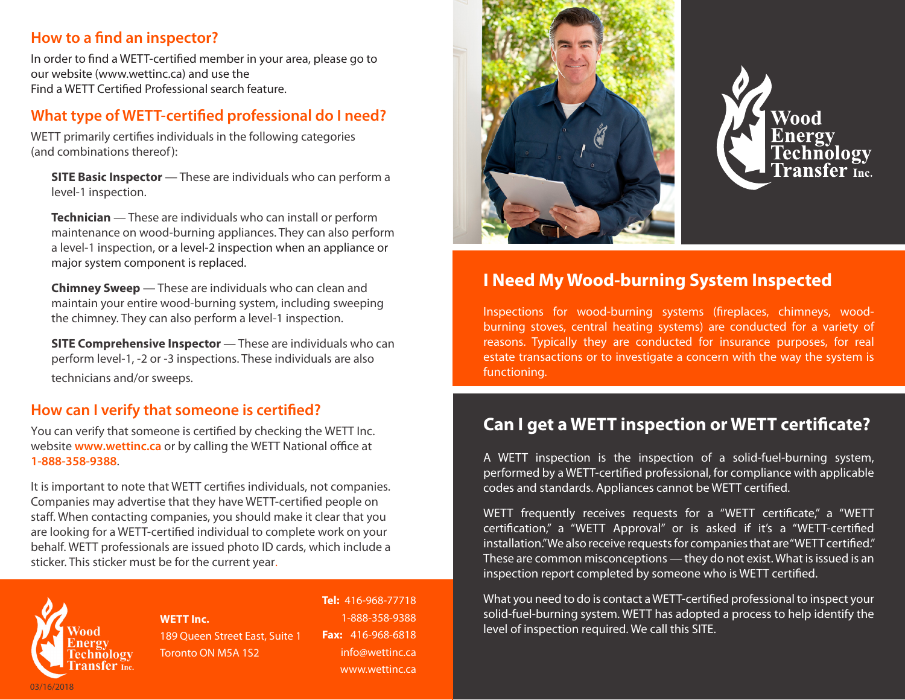### **How to a find an inspector?**

In order to find a WETT-certified member in your area, please go to our website (www.wettinc.ca) and use the Find a WETT Certified Professional search feature.

### **What type of WETT-certified professional do I need?**

WETT primarily certifies individuals in the following categories (and combinations thereof):

**SITE Basic Inspector** — These are individuals who can perform a level-1 inspection.

**Technician** — These are individuals who can install or perform maintenance on wood-burning appliances. They can also perform a level-1 inspection, or a level-2 inspection when an appliance or major system component is replaced.

**Chimney Sweep** — These are individuals who can clean and maintain your entire wood-burning system, including sweeping the chimney. They can also perform a level-1 inspection.

**SITE Comprehensive Inspector** — These are individuals who can perform level-1, -2 or -3 inspections. These individuals are also technicians and/or sweeps.

## **How can I verify that someone is certified?**

You can verify that someone is certified by checking the WETT Inc. website **www.wettinc.ca** or by calling the WETT National office at **1-888-358-9388**.

It is important to note that WETT certifies individuals, not companies. Companies may advertise that they have WETT-certified people on staff. When contacting companies, you should make it clear that you are looking for a WETT-certified individual to complete work on your behalf. WETT professionals are issued photo ID cards, which include a sticker. This sticker must be for the current year.



**WETT Inc.** 189 Queen Street East, Suite 1 Toronto ON M5A 1S2

**Tel:** 416-968-77718 1-888-358-9388 **Fax:** 416-968-6818 info@wettinc.ca www.wettinc.ca





# **I Need My Wood-burning System Inspected**

Inspections for wood-burning systems (fireplaces, chimneys, woodburning stoves, central heating systems) are conducted for a variety of reasons. Typically they are conducted for insurance purposes, for real estate transactions or to investigate a concern with the way the system is functioning.

# **Can I get a WETT inspection or WETT certificate?**

A WETT inspection is the inspection of a solid-fuel-burning system, performed by a WETT-certified professional, for compliance with applicable codes and standards. Appliances cannot be WETT certified.

WETT frequently receives requests for a "WETT certificate," a "WETT certification," a "WETT Approval" or is asked if it's a "WETT-certified installation." We also receive requests for companies that are "WETT certified." These are common misconceptions — they do not exist. What is issued is an inspection report completed by someone who is WETT certified.

What you need to do is contact a WETT-certified professional to inspect your solid-fuel-burning system. WETT has adopted a process to help identify the level of inspection required. We call this SITE.